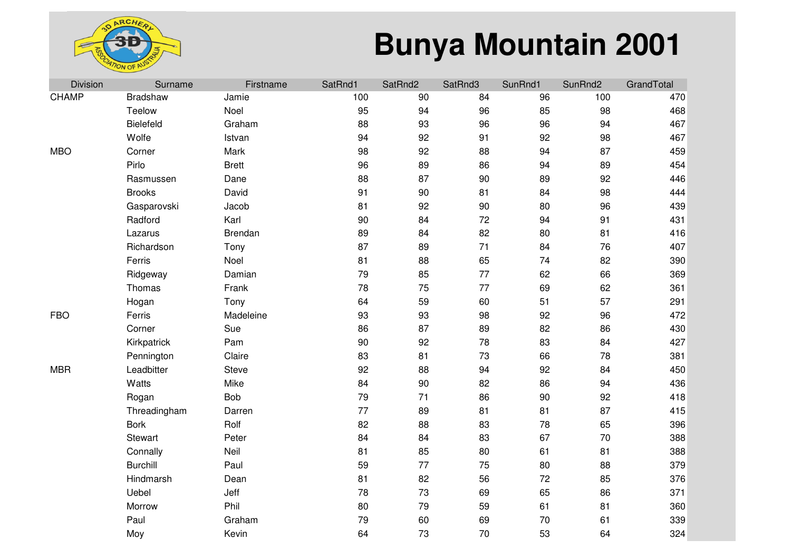

| Division     | Surname         | Firstname    | SatRnd1 | SatRnd2 | SatRnd3 | SunRnd1 | SunRnd2 | GrandTotal |
|--------------|-----------------|--------------|---------|---------|---------|---------|---------|------------|
| <b>CHAMP</b> | <b>Bradshaw</b> | Jamie        | 100     | 90      | 84      | 96      | 100     | 470        |
|              | Teelow          | Noel         | 95      | 94      | 96      | 85      | 98      | 468        |
|              | Bielefeld       | Graham       | 88      | 93      | 96      | 96      | 94      | 467        |
|              | Wolfe           | Istvan       | 94      | 92      | 91      | 92      | 98      | 467        |
| <b>MBO</b>   | Corner          | Mark         | 98      | 92      | 88      | 94      | 87      | 459        |
|              | Pirlo           | <b>Brett</b> | 96      | 89      | 86      | 94      | 89      | 454        |
|              | Rasmussen       | Dane         | 88      | 87      | 90      | 89      | 92      | 446        |
|              | <b>Brooks</b>   | David        | 91      | 90      | 81      | 84      | 98      | 444        |
|              | Gasparovski     | Jacob        | 81      | 92      | 90      | 80      | 96      | 439        |
|              | Radford         | Karl         | 90      | 84      | 72      | 94      | 91      | 431        |
|              | Lazarus         | Brendan      | 89      | 84      | 82      | 80      | 81      | 416        |
|              | Richardson      | Tony         | 87      | 89      | 71      | 84      | 76      | 407        |
|              | Ferris          | Noel         | 81      | 88      | 65      | 74      | 82      | 390        |
|              | Ridgeway        | Damian       | 79      | 85      | 77      | 62      | 66      | 369        |
|              | Thomas          | Frank        | 78      | 75      | 77      | 69      | 62      | 361        |
|              | Hogan           | Tony         | 64      | 59      | 60      | 51      | 57      | 291        |
| <b>FBO</b>   | Ferris          | Madeleine    | 93      | 93      | 98      | 92      | 96      | 472        |
|              | Corner          | Sue          | 86      | 87      | 89      | 82      | 86      | 430        |
|              | Kirkpatrick     | Pam          | 90      | 92      | 78      | 83      | 84      | 427        |
|              | Pennington      | Claire       | 83      | 81      | 73      | 66      | 78      | 381        |
| <b>MBR</b>   | Leadbitter      | Steve        | 92      | 88      | 94      | 92      | 84      | 450        |
|              | Watts           | Mike         | 84      | 90      | 82      | 86      | 94      | 436        |
|              | Rogan           | <b>Bob</b>   | 79      | 71      | 86      | 90      | 92      | 418        |
|              | Threadingham    | Darren       | 77      | 89      | 81      | 81      | 87      | 415        |
|              | <b>Bork</b>     | Rolf         | 82      | 88      | 83      | 78      | 65      | 396        |
|              | Stewart         | Peter        | 84      | 84      | 83      | 67      | 70      | 388        |
|              | Connally        | Neil         | 81      | 85      | 80      | 61      | 81      | 388        |
|              | <b>Burchill</b> | Paul         | 59      | 77      | 75      | 80      | 88      | 379        |
|              | Hindmarsh       | Dean         | 81      | 82      | 56      | 72      | 85      | 376        |
|              | Uebel           | Jeff         | 78      | 73      | 69      | 65      | 86      | 371        |
|              | Morrow          | Phil         | 80      | 79      | 59      | 61      | 81      | 360        |
|              | Paul            | Graham       | 79      | 60      | 69      | 70      | 61      | 339        |
|              | Moy             | Kevin        | 64      | 73      | 70      | 53      | 64      | 324        |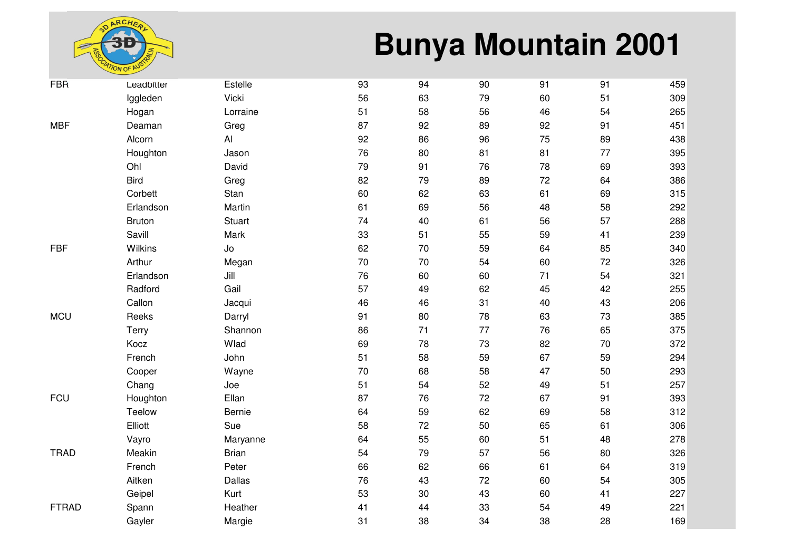

| <b>FBR</b>   | Leadbitter    | Estelle       | 93 | 94 | 90 | 91 | 91 | 459 |
|--------------|---------------|---------------|----|----|----|----|----|-----|
|              | Iggleden      | Vicki         | 56 | 63 | 79 | 60 | 51 | 309 |
|              | Hogan         | Lorraine      | 51 | 58 | 56 | 46 | 54 | 265 |
| <b>MBF</b>   | Deaman        | Greg          | 87 | 92 | 89 | 92 | 91 | 451 |
|              | Alcorn        | Al            | 92 | 86 | 96 | 75 | 89 | 438 |
|              | Houghton      | Jason         | 76 | 80 | 81 | 81 | 77 | 395 |
|              | Ohl           | David         | 79 | 91 | 76 | 78 | 69 | 393 |
|              | <b>Bird</b>   | Greg          | 82 | 79 | 89 | 72 | 64 | 386 |
|              | Corbett       | Stan          | 60 | 62 | 63 | 61 | 69 | 315 |
|              | Erlandson     | Martin        | 61 | 69 | 56 | 48 | 58 | 292 |
|              | <b>Bruton</b> | <b>Stuart</b> | 74 | 40 | 61 | 56 | 57 | 288 |
|              | Savill        | Mark          | 33 | 51 | 55 | 59 | 41 | 239 |
| <b>FBF</b>   | Wilkins       | Jo            | 62 | 70 | 59 | 64 | 85 | 340 |
|              | Arthur        | Megan         | 70 | 70 | 54 | 60 | 72 | 326 |
|              | Erlandson     | Jill          | 76 | 60 | 60 | 71 | 54 | 321 |
|              | Radford       | Gail          | 57 | 49 | 62 | 45 | 42 | 255 |
|              | Callon        | Jacqui        | 46 | 46 | 31 | 40 | 43 | 206 |
| <b>MCU</b>   | Reeks         | Darryl        | 91 | 80 | 78 | 63 | 73 | 385 |
|              | Terry         | Shannon       | 86 | 71 | 77 | 76 | 65 | 375 |
|              | Kocz          | Wlad          | 69 | 78 | 73 | 82 | 70 | 372 |
|              | French        | John          | 51 | 58 | 59 | 67 | 59 | 294 |
|              | Cooper        | Wayne         | 70 | 68 | 58 | 47 | 50 | 293 |
|              | Chang         | Joe           | 51 | 54 | 52 | 49 | 51 | 257 |
| <b>FCU</b>   | Houghton      | Ellan         | 87 | 76 | 72 | 67 | 91 | 393 |
|              | Teelow        | Bernie        | 64 | 59 | 62 | 69 | 58 | 312 |
|              | Elliott       | Sue           | 58 | 72 | 50 | 65 | 61 | 306 |
|              | Vayro         | Maryanne      | 64 | 55 | 60 | 51 | 48 | 278 |
| <b>TRAD</b>  | Meakin        | <b>Brian</b>  | 54 | 79 | 57 | 56 | 80 | 326 |
|              | French        | Peter         | 66 | 62 | 66 | 61 | 64 | 319 |
|              | Aitken        | Dallas        | 76 | 43 | 72 | 60 | 54 | 305 |
|              | Geipel        | Kurt          | 53 | 30 | 43 | 60 | 41 | 227 |
| <b>FTRAD</b> | Spann         | Heather       | 41 | 44 | 33 | 54 | 49 | 221 |
|              | Gayler        | Margie        | 31 | 38 | 34 | 38 | 28 | 169 |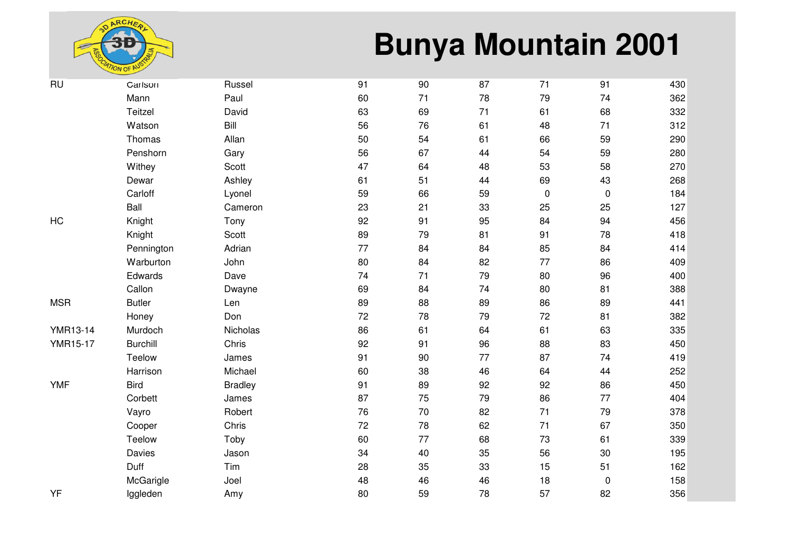

| <b>RU</b>       | Carlson         | Russel         | 91 | 90 | 87 | 71        | 91        | 430 |
|-----------------|-----------------|----------------|----|----|----|-----------|-----------|-----|
|                 | Mann            | Paul           | 60 | 71 | 78 | 79        | 74        | 362 |
|                 | Teitzel         | David          | 63 | 69 | 71 | 61        | 68        | 332 |
|                 | Watson          | Bill           | 56 | 76 | 61 | 48        | 71        | 312 |
|                 | Thomas          | Allan          | 50 | 54 | 61 | 66        | 59        | 290 |
|                 | Penshorn        | Gary           | 56 | 67 | 44 | 54        | 59        | 280 |
|                 | Withey          | Scott          | 47 | 64 | 48 | 53        | 58        | 270 |
|                 | Dewar           | Ashley         | 61 | 51 | 44 | 69        | 43        | 268 |
|                 | Carloff         | Lyonel         | 59 | 66 | 59 | $\pmb{0}$ | $\pmb{0}$ | 184 |
|                 | Ball            | Cameron        | 23 | 21 | 33 | 25        | 25        | 127 |
| HC              | Knight          | Tony           | 92 | 91 | 95 | 84        | 94        | 456 |
|                 | Knight          | Scott          | 89 | 79 | 81 | 91        | 78        | 418 |
|                 | Pennington      | Adrian         | 77 | 84 | 84 | 85        | 84        | 414 |
|                 | Warburton       | John           | 80 | 84 | 82 | 77        | 86        | 409 |
|                 | Edwards         | Dave           | 74 | 71 | 79 | 80        | 96        | 400 |
|                 | Callon          | Dwayne         | 69 | 84 | 74 | 80        | 81        | 388 |
| <b>MSR</b>      | <b>Butler</b>   | Len            | 89 | 88 | 89 | 86        | 89        | 441 |
|                 | Honey           | Don            | 72 | 78 | 79 | 72        | 81        | 382 |
| <b>YMR13-14</b> | Murdoch         | Nicholas       | 86 | 61 | 64 | 61        | 63        | 335 |
| <b>YMR15-17</b> | <b>Burchill</b> | Chris          | 92 | 91 | 96 | 88        | 83        | 450 |
|                 | Teelow          | James          | 91 | 90 | 77 | 87        | 74        | 419 |
|                 | Harrison        | Michael        | 60 | 38 | 46 | 64        | 44        | 252 |
| <b>YMF</b>      | <b>Bird</b>     | <b>Bradley</b> | 91 | 89 | 92 | 92        | 86        | 450 |
|                 | Corbett         | James          | 87 | 75 | 79 | 86        | 77        | 404 |
|                 | Vayro           | Robert         | 76 | 70 | 82 | 71        | 79        | 378 |
|                 | Cooper          | Chris          | 72 | 78 | 62 | 71        | 67        | 350 |
|                 | Teelow          | Toby           | 60 | 77 | 68 | 73        | 61        | 339 |
|                 | Davies          | Jason          | 34 | 40 | 35 | 56        | $30\,$    | 195 |
|                 | Duff            | Tim            | 28 | 35 | 33 | 15        | 51        | 162 |
|                 | McGarigle       | Joel           | 48 | 46 | 46 | 18        | $\pmb{0}$ | 158 |
| YF              | Iggleden        | Amy            | 80 | 59 | 78 | 57        | 82        | 356 |